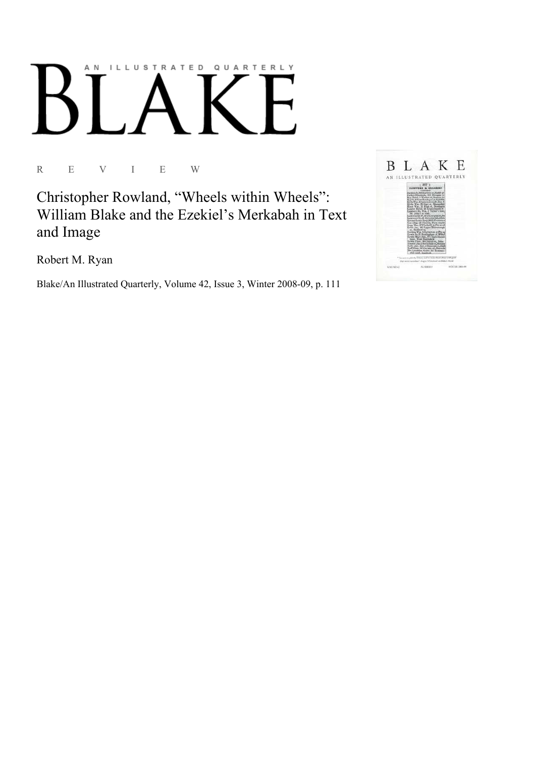## AN ILLUSTRATED QUARTERLY

R E V I E W

Christopher Rowland, "Wheels within Wheels": William Blake and the Ezekiel's Merkabah in Text and Image

Robert M. Ryan

Blake/An Illustrated Quarterly, Volume 42, Issue 3, Winter 2008-09, p. 111